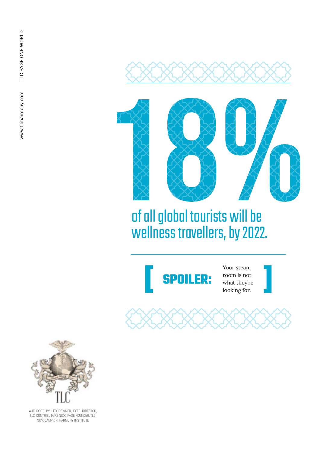



## of all global tourists will be wellness travellers, by 2022.



Your steam room is not what they're looking for.





AUTHORED BY LEO DOWNER, EXEC DIRECTOR, TLC; CONTRIBUTORS NICKI PAGE FOUNDER, TLC;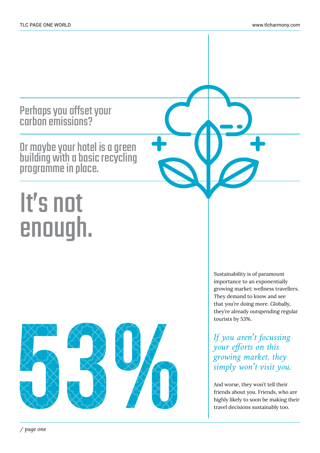Perhaps you offset your carbon emissions?

Or maybe your hotel is a green building with a basic recycling programme in place.

# It's not enough.



Sustainability is of paramount importance to an exponentially growing market: wellness travellers. They demand to know and see that you're doing more. Globally, they're already outspending regular tourists by 53%.

*If you aren't focussing your efforts on this growing market, they simply won't visit you.* 

And worse, they won't tell their friends about you. Friends, who are highly likely to soon be making their travel decisions sustainably too.

*/ page one*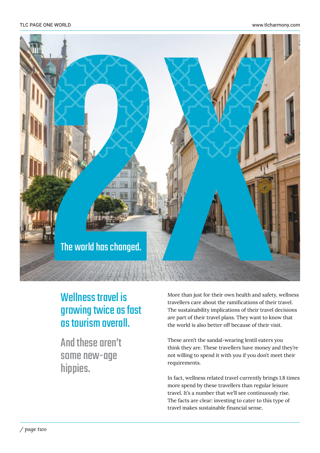

#### Wellness travel is growing twice as fast as tourism overall.

And these aren't some new-age hippies.

More than just for their own health and safety, wellness travellers care about the ramifications of their travel. The sustainability implications of their travel decisions are part of their travel plans. They want to know that the world is also better off because of their visit.

These aren't the sandal-wearing lentil eaters you think they are. These travellers have money and they're not willing to spend it with you if you don't meet their requirements.

In fact, wellness related travel currently brings 1.8 times more spend by these travellers than regular leisure travel. It's a number that we'll see continuously rise. The facts are clear: investing to cater to this type of travel makes sustainable financial sense.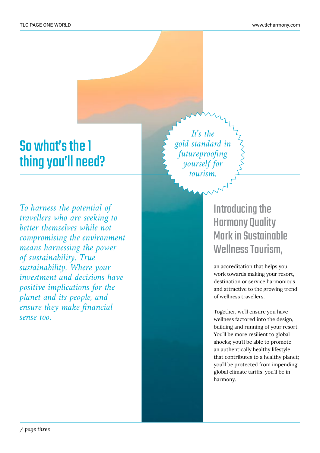### So what's the 1 thing you'll need?

*To harness the potential of travellers who are seeking to better themselves while not compromising the environment means harnessing the power of sustainability. True sustainability. Where your investment and decisions have positive implications for the planet and its people, and ensure they make financial sense too.*

*It's the gold standard in futureproofing yourself for tourism.*

#### Introducing the Harmony Quality Mark in Sustainable Wellness Tourism,

an accreditation that helps you work towards making your resort, destination or service harmonious and attractive to the growing trend of wellness travellers.

Together, we'll ensure you have wellness factored into the design, building and running of your resort. You'll be more resilient to global shocks; you'll be able to promote an authentically healthy lifestyle that contributes to a healthy planet; you'll be protected from impending global climate tariffs; you'll be in harmony.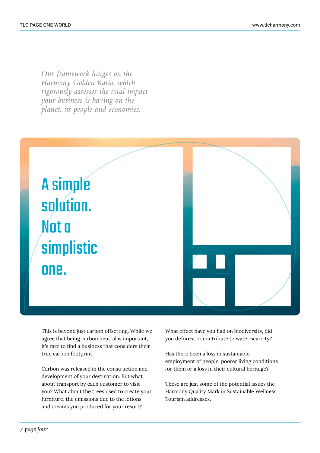*Our framework hinges on the Harmony Golden Ratio, which rigorously assesses the total impact your business is having on the planet, its people and economies.*



This is beyond just carbon offsetting. While we agree that being carbon neutral is important, it's rare to find a business that considers their true carbon footprint.

Carbon was released in the construction and development of your destination. But what about transport by each customer to visit you? What about the trees used to create your furniture, the emissions due to the lotions and creams you produced for your resort?

What effect have you had on biodiversity, did you deforest or contribute to water scarcity?

Has there been a loss in sustainable employment of people, poorer living conditions for them or a loss in their cultural heritage?

These are just some of the potential issues the Harmony Quality Mark in Sustainable Wellness Tourism addresses.

*/ page four*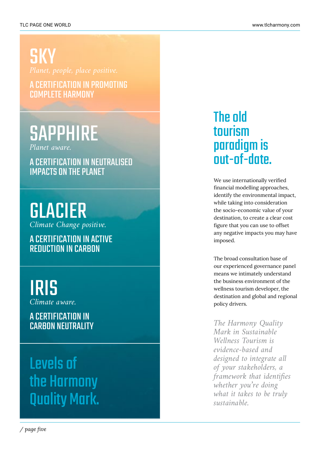**SKY** 

A CERTIFICATION IN PROMOTING COMPLETE HARMONY

# **SAPPHIRE**

*Planet aware.* 

A CERTIFICATION IN NEUTRALISED IMPACTS ON THE PLANET

GLACIER *Climate Change positive.* 

A CERTIFICATION IN ACTIVE REDUCTION IN CARBON

IRIS *Climate aware.* 

#### A CERTIFICATION IN **CARBON NEUTRALITY**

Levels of the Harmony Quality Mark.

#### The old tourism paradigm is out-of-date.

We use internationally verified financial modelling approaches, identify the environmental impact, while taking into consideration the socio-economic value of your destination, to create a clear cost figure that you can use to offset any negative impacts you may have imposed.

The broad consultation base of our experienced governance panel means we intimately understand the business environment of the wellness tourism developer, the destination and global and regional policy drivers.

*The Harmony Quality Mark in Sustainable Wellness Tourism is evidence-based and designed to integrate all of your stakeholders, a framework that identifies whether you're doing what it takes to be truly sustainable.*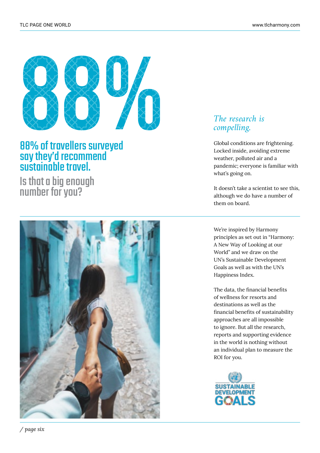

#### 88% of travellers surveyed say they'd recommend sustainable travel.

Is that a big enough number for you?



#### *The research is compelling.*

Global conditions are frightening. Locked inside, avoiding extreme weather, polluted air and a pandemic; everyone is familiar with what's going on.

It doesn't take a scientist to see this, although we do have a number of them on board.

We're inspired by Harmony principles as set out in "Harmony: A New Way of Looking at our World" and we draw on the UN's Sustainable Development Goals as well as with the UN's Happiness Index.

The data, the financial benefits of wellness for resorts and destinations as well as the financial benefits of sustainability approaches are all impossible to ignore. But all the research, reports and supporting evidence in the world is nothing without an individual plan to measure the ROI for you.

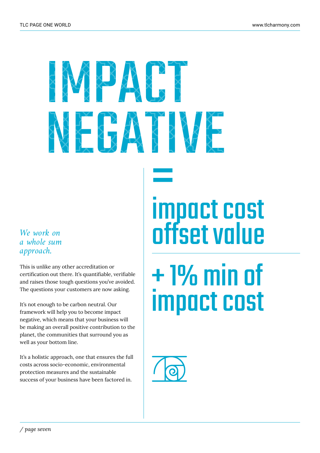# 接受经络经营 我是我我好好

#### *We work on a whole sum approach.*

This is unlike any other accreditation or certification out there. It's quantifiable, verifiable and raises those tough questions you've avoided. The questions your customers are now asking.

It's not enough to be carbon neutral. Our framework will help you to become impact negative, which means that your business will be making an overall positive contribution to the planet, the communities that surround you as well as your bottom line.

It's a holistic approach, one that ensures the full costs across socio-economic, environmental protection measures and the sustainable success of your business have been factored in.

# impact cost offset value =<br>=<br>im

# + 1% min of impact cost

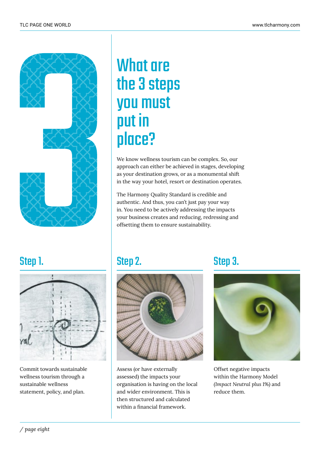

# What are the 3 steps you must put in place?

We know wellness tourism can be complex. So, our approach can either be achieved in stages, developing as your destination grows, or as a monumental shift in the way your hotel, resort or destination operates.

The Harmony Quality Standard is credible and authentic. And thus, you can't just pay your way in. You need to be actively addressing the impacts your business creates and reducing, redressing and offsetting them to ensure sustainability.

#### Step 1.



Commit towards sustainable wellness tourism through a sustainable wellness statement, policy, and plan.



Assess (or have externally assessed) the impacts your organisation is having on the local and wider environment. This is then structured and calculated within a financial framework.

#### Step 2. Step 3.



Offset negative impacts within the Harmony Model *(Impact Neutral plus 1%)* and reduce them.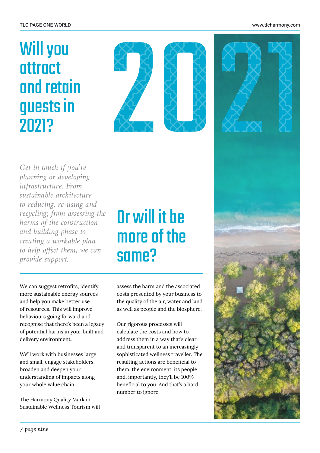#### TLC PAGE ONE WORLD www.tlcharmony.com

# Will you attract and retain guests in 2021?





*Get in touch if you're planning or developing infrastructure. From sustainable architecture to reducing, re-using and recycling; from assessing the harms of the construction and building phase to creating a workable plan to help offset them, we can provide support.*

# Or will it be more of the same?

We can suggest retrofits, identify more sustainable energy sources and help you make better use of resources. This will improve behaviours going forward and recognise that there's been a legacy of potential harms in your built and delivery environment.

We'll work with businesses large and small, engage stakeholders, broaden and deepen your understanding of impacts along your whole value chain.

The Harmony Quality Mark in Sustainable Wellness Tourism will assess the harm and the associated costs presented by your business to the quality of the air, water and land as well as people and the biosphere.

Our rigorous processes will calculate the costs and how to address them in a way that's clear and transparent to an increasingly sophisticated wellness traveller. The resulting actions are beneficial to them, the environment, its people and, importantly, they'll be 100% beneficial to you. And that's a hard number to ignore.

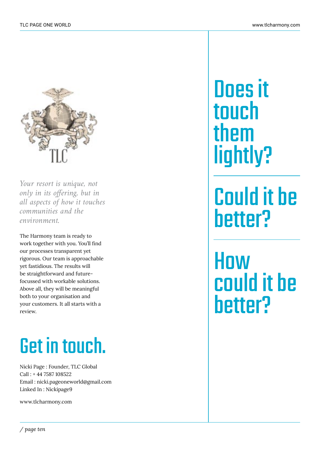

*Your resort is unique, not only in its offering, but in all aspects of how it touches communities and the environment.*

The Harmony team is ready to work together with you. You'll find our processes transparent yet rigorous. Our team is approachable yet fastidious. The results will be straightforward and futurefocussed with workable solutions. Above all, they will be meaningful both to your organisation and your customers. It all starts with a review.

# Get in touch.

Nicki Page : Founder, TLC Global Call : + 44 7587 108522 Email : nicki.pageoneworld@gmail.com Linked In : Nickipage9

www.tlcharmony.com

Does it touch them lightly?

Could it be better?

**How** could it be better?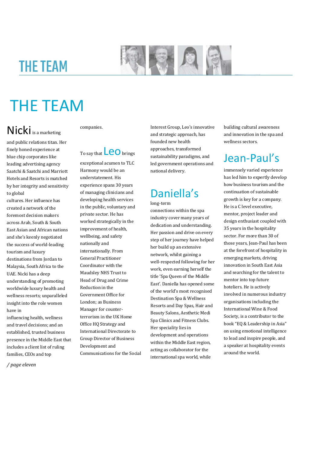### **THE TEAM**



# THE TEAM

#### Nicki is a marketing

and public relations titan. Her finely honed experience at blue chip corporates like leading advertising agency Saatchi & Saatchi and Marriott Hotels and Resorts is matched by her integrity and sensitivity to global

cultures. Her influence has created a network of the foremost decision makers across Arab, South & South East Asian and African nations and she's keenly negotiated the success of world-leading tourism and luxury destinations from Jordan to Malaysia, South Africa to the UAE. Nicki has a deep understanding of promoting worldwide luxury health and wellness resorts; unparalleled insight into the role women have in

influencing health, wellness and travel decisions; and an established, trusted business presence in the Middle East that includes a client list of ruling families, CEOs and top

*/ page eleven* 

companies.

To say that  $\textsf{\textbf{LO}}$  brings exceptional acumen to TLC

Harmony would be an understatement. His experience spans 30 years of managing clinicians and developing health services in the public, voluntary and private sector. He has worked strategically in the improvement of health, wellbeing, and safety nationally and internationally. From General Practitioner Coordinator with the Maudsley NHS Trust to Head of Drug and Crime Reduction in the Government Office for London; as Business Manager for counterterrorism in the UK Home Office HQ Strategy and International Directorate to Group Director of Business Development and Communications for the Social Interest Group, Leo's innovative and strategic approach, has founded new health approaches, transformed sustainability paradigms, and led government operations and national delivery.

### Daniella's

long-term connections within the spa industry cover many years of dedication and understanding. Her passion and drive on every step of her journey have helped her build up an extensive network, whilst gaining a well-respected following for her work, even earning herself the title 'Spa Queen of the Middle East'. Daniella has opened some of the world's most recognised Destination Spa & Wellness Resorts and Day Spas, Hair and Beauty Salons, Aesthetic Medi Spa Clinics and Fitness Clubs. Her speciality lies in development and operations within the Middle East region, acting as collaborator for the international spa world, while

building cultural awareness and innovation in the spa and wellness sectors.

#### Jean-Paul's

immensely varied experience has led him to expertly develop how business tourism and the continuation of sustainable growth is key for a company. He is a C level executive, mentor, project leader and design enthusiast coupled with 35 years in the hospitality sector. For more than 30 of those years, Jean-Paul has been at the forefront of hospitality in emerging markets, driving innovation in South East Asia and searching for the talent to mentor into top future hoteliers. He is actively involved in numerous industry organisations including the International Wine & Food Society, is a contributor to the book "EQ & Leadership in Asia" on using emotional intelligence to lead and inspire people, and a speaker at hospitality events around the world.